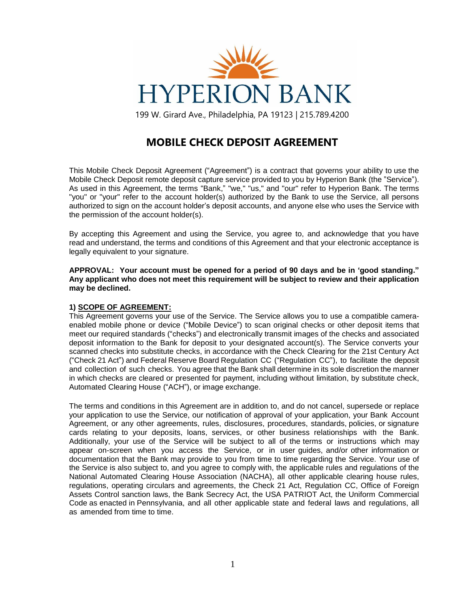

199 W. Girard Ave., Philadelphia, PA 19123 | 215.789.4200

# **MOBILE CHECK DEPOSIT AGREEMENT**

This Mobile Check Deposit Agreement ("Agreement") is a contract that governs your ability to use the Mobile Check Deposit remote deposit capture service provided to you by Hyperion Bank (the "Service"). As used in this Agreement, the terms "Bank," "we," "us," and "our" refer to Hyperion Bank. The terms "you" or "your" refer to the account holder(s) authorized by the Bank to use the Service, all persons authorized to sign on the account holder's deposit accounts, and anyone else who uses the Service with the permission of the account holder(s).

By accepting this Agreement and using the Service, you agree to, and acknowledge that you have read and understand, the terms and conditions of this Agreement and that your electronic acceptance is legally equivalent to your signature.

**APPROVAL: Your account must be opened for a period of 90 days and be in 'good standing." Any applicant who does not meet this requirement will be subject to review and their application may be declined.**

### **1) SCOPE OF AGREEMENT:**

This Agreement governs your use of the Service. The Service allows you to use a compatible cameraenabled mobile phone or device ("Mobile Device") to scan original checks or other deposit items that meet our required standards ("checks") and electronically transmit images of the checks and associated deposit information to the Bank for deposit to your designated account(s). The Service converts your scanned checks into substitute checks, in accordance with the Check Clearing for the 21st Century Act ("Check 21 Act") and Federal Reserve Board Regulation CC ("Regulation CC"), to facilitate the deposit and collection of such checks. You agree that the Bank shall determine in its sole discretion the manner in which checks are cleared or presented for payment, including without limitation, by substitute check, Automated Clearing House ("ACH"), or image exchange.

The terms and conditions in this Agreement are in addition to, and do not cancel, supersede or replace your application to use the Service, our notification of approval of your application, your Bank Account Agreement, or any other agreements, rules, disclosures, procedures, standards, policies, or signature cards relating to your deposits, loans, services, or other business relationships with the Bank. Additionally, your use of the Service will be subject to all of the terms or instructions which may appear on-screen when you access the Service, or in user guides, and/or other information or documentation that the Bank may provide to you from time to time regarding the Service. Your use of the Service is also subject to, and you agree to comply with, the applicable rules and regulations of the National Automated Clearing House Association (NACHA), all other applicable clearing house rules, regulations, operating circulars and agreements, the Check 21 Act, Regulation CC, Office of Foreign Assets Control sanction laws, the Bank Secrecy Act, the USA PATRIOT Act, the Uniform Commercial Code as enacted in Pennsylvania, and all other applicable state and federal laws and regulations, all as amended from time to time.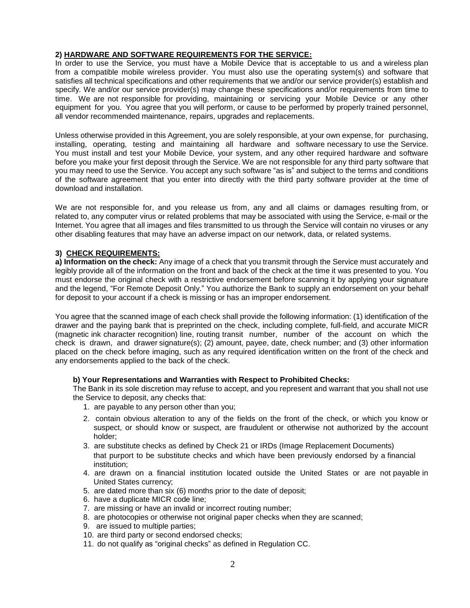# **2) HARDWARE AND SOFTWARE REQUIREMENTS FOR THE SERVICE:**

In order to use the Service, you must have a Mobile Device that is acceptable to us and a wireless plan from a compatible mobile wireless provider. You must also use the operating system(s) and software that satisfies all technical specifications and other requirements that we and/or our service provider(s) establish and specify. We and/or our service provider(s) may change these specifications and/or requirements from time to time. We are not responsible for providing, maintaining or servicing your Mobile Device or any other equipment for you. You agree that you will perform, or cause to be performed by properly trained personnel, all vendor recommended maintenance, repairs, upgrades and replacements.

Unless otherwise provided in this Agreement, you are solely responsible, at your own expense, for purchasing, installing, operating, testing and maintaining all hardware and software necessary to use the Service. You must install and test your Mobile Device, your system, and any other required hardware and software before you make your first deposit through the Service. We are not responsible for any third party software that you may need to use the Service. You accept any such software "as is" and subject to the terms and conditions of the software agreement that you enter into directly with the third party software provider at the time of download and installation.

We are not responsible for, and you release us from, any and all claims or damages resulting from, or related to, any computer virus or related problems that may be associated with using the Service, e-mail or the Internet. You agree that all images and files transmitted to us through the Service will contain no viruses or any other disabling features that may have an adverse impact on our network, data, or related systems.

# **3) CHECK REQUIREMENTS:**

**a) Information on the check:** Any image of a check that you transmit through the Service must accurately and legibly provide all of the information on the front and back of the check at the time it was presented to you. You must endorse the original check with a restrictive endorsement before scanning it by applying your signature and the legend, "For Remote Deposit Only." You authorize the Bank to supply an endorsement on your behalf for deposit to your account if a check is missing or has an improper endorsement.

You agree that the scanned image of each check shall provide the following information: (1) identification of the drawer and the paying bank that is preprinted on the check, including complete, full-field, and accurate MICR (magnetic ink character recognition) line, routing transit number, number of the account on which the check is drawn, and drawer signature(s); (2) amount, payee, date, check number; and (3) other information placed on the check before imaging, such as any required identification written on the front of the check and any endorsements applied to the back of the check.

### **b) Your Representations and Warranties with Respect to Prohibited Checks:**

The Bank in its sole discretion may refuse to accept, and you represent and warrant that you shall not use the Service to deposit, any checks that:

- 1. are payable to any person other than you;
- 2. contain obvious alteration to any of the fields on the front of the check, or which you know or suspect, or should know or suspect, are fraudulent or otherwise not authorized by the account holder;
- 3. are substitute checks as defined by Check 21 or IRDs (Image Replacement Documents) that purport to be substitute checks and which have been previously endorsed by a financial institution;
- 4. are drawn on a financial institution located outside the United States or are not payable in United States currency;
- 5. are dated more than six (6) months prior to the date of deposit;
- 6. have a duplicate MICR code line;
- 7. are missing or have an invalid or incorrect routing number;
- 8. are photocopies or otherwise not original paper checks when they are scanned;
- 9. are issued to multiple parties;
- 10. are third party or second endorsed checks;
- 11. do not qualify as "original checks" as defined in Regulation CC.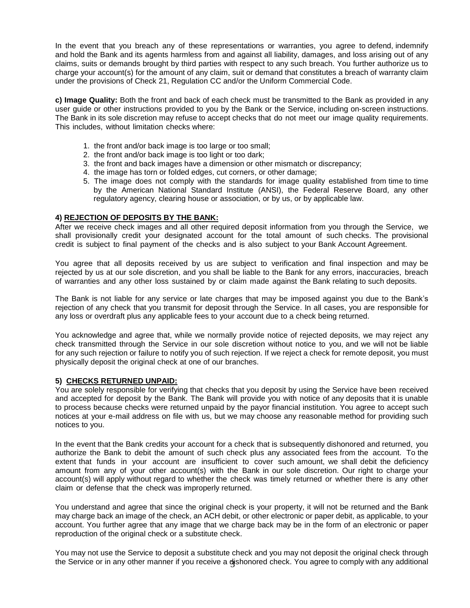In the event that you breach any of these representations or warranties, you agree to defend, indemnify and hold the Bank and its agents harmless from and against all liability, damages, and loss arising out of any claims, suits or demands brought by third parties with respect to any such breach. You further authorize us to charge your account(s) for the amount of any claim, suit or demand that constitutes a breach of warranty claim under the provisions of Check 21, Regulation CC and/or the Uniform Commercial Code.

**c) Image Quality:** Both the front and back of each check must be transmitted to the Bank as provided in any user guide or other instructions provided to you by the Bank or the Service, including on-screen instructions. The Bank in its sole discretion may refuse to accept checks that do not meet our image quality requirements. This includes, without limitation checks where:

- 1. the front and/or back image is too large or too small;
- 2. the front and/or back image is too light or too dark;
- 3. the front and back images have a dimension or other mismatch or discrepancy;
- 4. the image has torn or folded edges, cut corners, or other damage;
- 5. The image does not comply with the standards for image quality established from time to time by the American National Standard Institute (ANSI), the Federal Reserve Board, any other regulatory agency, clearing house or association, or by us, or by applicable law.

#### **4) REJECTION OF DEPOSITS BY THE BANK:**

After we receive check images and all other required deposit information from you through the Service, we shall provisionally credit your designated account for the total amount of such checks. The provisional credit is subject to final payment of the checks and is also subject to your Bank Account Agreement.

You agree that all deposits received by us are subject to verification and final inspection and may be rejected by us at our sole discretion, and you shall be liable to the Bank for any errors, inaccuracies, breach of warranties and any other loss sustained by or claim made against the Bank relating to such deposits.

The Bank is not liable for any service or late charges that may be imposed against you due to the Bank's rejection of any check that you transmit for deposit through the Service. In all cases, you are responsible for any loss or overdraft plus any applicable fees to your account due to a check being returned.

You acknowledge and agree that, while we normally provide notice of rejected deposits, we may reject any check transmitted through the Service in our sole discretion without notice to you, and we will not be liable for any such rejection or failure to notify you of such rejection. If we reject a check for remote deposit, you must physically deposit the original check at one of our branches.

### **5) CHECKS RETURNED UNPAID:**

You are solely responsible for verifying that checks that you deposit by using the Service have been received and accepted for deposit by the Bank. The Bank will provide you with notice of any deposits that it is unable to process because checks were returned unpaid by the payor financial institution. You agree to accept such notices at your e-mail address on file with us, but we may choose any reasonable method for providing such notices to you.

In the event that the Bank credits your account for a check that is subsequently dishonored and returned, you authorize the Bank to debit the amount of such check plus any associated fees from the account. To the extent that funds in your account are insufficient to cover such amount, we shall debit the deficiency amount from any of your other account(s) with the Bank in our sole discretion. Our right to charge your account(s) will apply without regard to whether the check was timely returned or whether there is any other claim or defense that the check was improperly returned.

You understand and agree that since the original check is your property, it will not be returned and the Bank may charge back an image of the check, an ACH debit, or other electronic or paper debit, as applicable, to your account. You further agree that any image that we charge back may be in the form of an electronic or paper reproduction of the original check or a substitute check.

the Service or in any other manner if you receive a dishonored check. You agree to comply with any additional You may not use the Service to deposit a substitute check and you may not deposit the original check through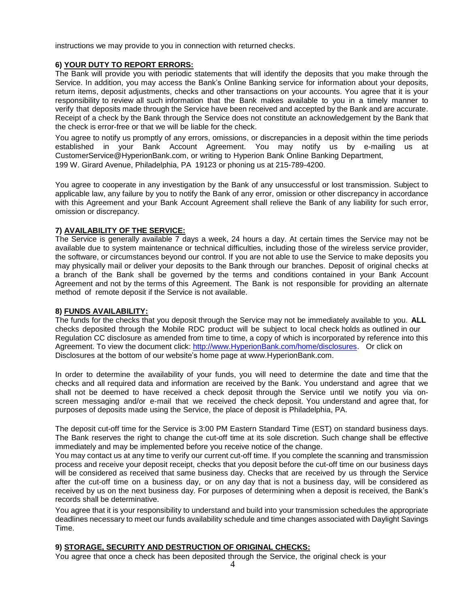instructions we may provide to you in connection with returned checks.

### **6) YOUR DUTY TO REPORT ERRORS:**

The Bank will provide you with periodic statements that will identify the deposits that you make through the Service. In addition, you may access the Bank's Online Banking service for information about your deposits, return items, deposit adjustments, checks and other transactions on your accounts. You agree that it is your responsibility to review all such information that the Bank makes available to you in a timely manner to verify that deposits made through the Service have been received and accepted by the Bank and are accurate. Receipt of a check by the Bank through the Service does not constitute an acknowledgement by the Bank that the check is error-free or that we will be liable for the check.

You agree to notify us promptly of any errors, omissions, or discrepancies in a deposit within the time periods established in your Bank Account Agreement. You may notify us by e-mailing us a[t](mailto:CustomerService@HyperionBank.com) [CustomerService@HyperionBank.com,](mailto:CustomerService@HyperionBank.com) or writing to Hyperion Bank Online Banking Department, 199 W. Girard Avenue, Philadelphia, PA 19123 or phoning us at 215-789-4200.

You agree to cooperate in any investigation by the Bank of any unsuccessful or lost transmission. Subject to applicable law, any failure by you to notify the Bank of any error, omission or other discrepancy in accordance with this Agreement and your Bank Account Agreement shall relieve the Bank of any liability for such error, omission or discrepancy.

### **7) AVAILABILITY OF THE SERVICE:**

The Service is generally available 7 days a week, 24 hours a day. At certain times the Service may not be available due to system maintenance or technical difficulties, including those of the wireless service provider, the software, or circumstances beyond our control. If you are not able to use the Service to make deposits you may physically mail or deliver your deposits to the Bank through our branches. Deposit of original checks at a branch of the Bank shall be governed by the terms and conditions contained in your Bank Account Agreement and not by the terms of this Agreement. The Bank is not responsible for providing an alternate method of remote deposit if the Service is not available.

### **8) FUNDS AVAILABILITY:**

The funds for the checks that you deposit through the Service may not be immediately available to you. **ALL** checks deposited through the Mobile RDC product will be subject to local check holds as outlined in our Regulation CC disclosure as amended from time to time, a copy of which is incorporated by reference into this Agreement. To view the document click: [http://www.HyperionBank.com/home/disclosures. O](http://www.hyperionbank.com/home/disclosures)r click on Disclosures at the bottom of our website's home page at [www.HyperionBank.com.](http://www.hyperionbank.com/)

In order to determine the availability of your funds, you will need to determine the date and time that the checks and all required data and information are received by the Bank. You understand and agree that we shall not be deemed to have received a check deposit through the Service until we notify you via onscreen messaging and/or e-mail that we received the check deposit. You understand and agree that, for purposes of deposits made using the Service, the place of deposit is Philadelphia, PA.

The deposit cut-off time for the Service is 3:00 PM Eastern Standard Time (EST) on standard business days. The Bank reserves the right to change the cut-off time at its sole discretion. Such change shall be effective immediately and may be implemented before you receive notice of the change.

You may contact us at any time to verify our current cut-off time. If you complete the scanning and transmission process and receive your deposit receipt, checks that you deposit before the cut-off time on our business days will be considered as received that same business day. Checks that are received by us through the Service after the cut-off time on a business day, or on any day that is not a business day, will be considered as received by us on the next business day. For purposes of determining when a deposit is received, the Bank's records shall be determinative.

You agree that it is your responsibility to understand and build into your transmission schedules the appropriate deadlines necessary to meet our funds availability schedule and time changes associated with Daylight Savings Time.

# **9) STORAGE, SECURITY AND DESTRUCTION OF ORIGINAL CHECKS:**

You agree that once a check has been deposited through the Service, the original check is your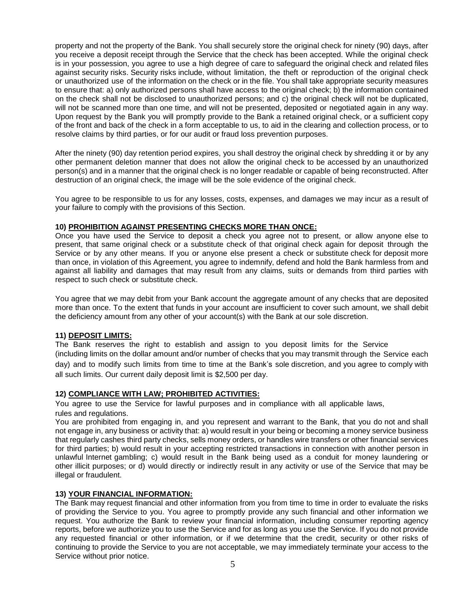property and not the property of the Bank. You shall securely store the original check for ninety (90) days, after you receive a deposit receipt through the Service that the check has been accepted. While the original check is in your possession, you agree to use a high degree of care to safeguard the original check and related files against security risks. Security risks include, without limitation, the theft or reproduction of the original check or unauthorized use of the information on the check or in the file. You shall take appropriate security measures to ensure that: a) only authorized persons shall have access to the original check; b) the information contained on the check shall not be disclosed to unauthorized persons; and c) the original check will not be duplicated, will not be scanned more than one time, and will not be presented, deposited or negotiated again in any way. Upon request by the Bank you will promptly provide to the Bank a retained original check, or a sufficient copy of the front and back of the check in a form acceptable to us, to aid in the clearing and collection process, or to resolve claims by third parties, or for our audit or fraud loss prevention purposes.

After the ninety (90) day retention period expires, you shall destroy the original check by shredding it or by any other permanent deletion manner that does not allow the original check to be accessed by an unauthorized person(s) and in a manner that the original check is no longer readable or capable of being reconstructed. After destruction of an original check, the image will be the sole evidence of the original check.

You agree to be responsible to us for any losses, costs, expenses, and damages we may incur as a result of your failure to comply with the provisions of this Section.

### **10) PROHIBITION AGAINST PRESENTING CHECKS MORE THAN ONCE:**

Once you have used the Service to deposit a check you agree not to present, or allow anyone else to present, that same original check or a substitute check of that original check again for deposit through the Service or by any other means. If you or anyone else present a check or substitute check for deposit more than once, in violation of this Agreement, you agree to indemnify, defend and hold the Bank harmless from and against all liability and damages that may result from any claims, suits or demands from third parties with respect to such check or substitute check.

You agree that we may debit from your Bank account the aggregate amount of any checks that are deposited more than once. To the extent that funds in your account are insufficient to cover such amount, we shall debit the deficiency amount from any other of your account(s) with the Bank at our sole discretion.

### **11) DEPOSIT LIMITS:**

The Bank reserves the right to establish and assign to you deposit limits for the Service (including limits on the dollar amount and/or number of checks that you may transmit through the Service each day) and to modify such limits from time to time at the Bank's sole discretion, and you agree to comply with

all such limits. Our current daily deposit limit is \$2,500 per day.

# **12) COMPLIANCE WITH LAW; PROHIBITED ACTIVITIES:**

You agree to use the Service for lawful purposes and in compliance with all applicable laws, rules and regulations.

You are prohibited from engaging in, and you represent and warrant to the Bank, that you do not and shall not engage in, any business or activity that: a) would result in your being or becoming a money service business that regularly cashes third party checks, sells money orders, or handles wire transfers or other financial services for third parties; b) would result in your accepting restricted transactions in connection with another person in unlawful Internet gambling; c) would result in the Bank being used as a conduit for money laundering or other illicit purposes; or d) would directly or indirectly result in any activity or use of the Service that may be illegal or fraudulent.

# **13) YOUR FINANCIAL INFORMATION:**

The Bank may request financial and other information from you from time to time in order to evaluate the risks of providing the Service to you. You agree to promptly provide any such financial and other information we request. You authorize the Bank to review your financial information, including consumer reporting agency reports, before we authorize you to use the Service and for as long as you use the Service. If you do not provide any requested financial or other information, or if we determine that the credit, security or other risks of continuing to provide the Service to you are not acceptable, we may immediately terminate your access to the Service without prior notice.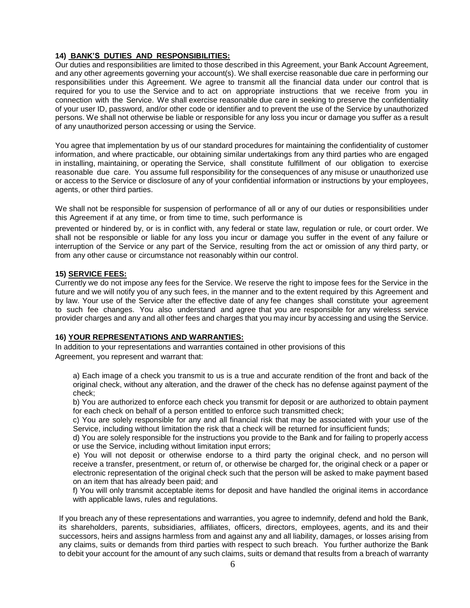# **14) BANK'S DUTIES AND RESPONSIBILITIES:**

Our duties and responsibilities are limited to those described in this Agreement, your Bank Account Agreement, and any other agreements governing your account(s). We shall exercise reasonable due care in performing our responsibilities under this Agreement. We agree to transmit all the financial data under our control that is required for you to use the Service and to act on appropriate instructions that we receive from you in connection with the Service. We shall exercise reasonable due care in seeking to preserve the confidentiality of your user ID, password, and/or other code or identifier and to prevent the use of the Service by unauthorized persons. We shall not otherwise be liable or responsible for any loss you incur or damage you suffer as a result of any unauthorized person accessing or using the Service.

You agree that implementation by us of our standard procedures for maintaining the confidentiality of customer information, and where practicable, our obtaining similar undertakings from any third parties who are engaged in installing, maintaining, or operating the Service, shall constitute fulfillment of our obligation to exercise reasonable due care. You assume full responsibility for the consequences of any misuse or unauthorized use or access to the Service or disclosure of any of your confidential information or instructions by your employees, agents, or other third parties.

We shall not be responsible for suspension of performance of all or any of our duties or responsibilities under this Agreement if at any time, or from time to time, such performance is

prevented or hindered by, or is in conflict with, any federal or state law, regulation or rule, or court order. We shall not be responsible or liable for any loss you incur or damage you suffer in the event of any failure or interruption of the Service or any part of the Service, resulting from the act or omission of any third party, or from any other cause or circumstance not reasonably within our control.

### **15) SERVICE FEES:**

Currently we do not impose any fees for the Service. We reserve the right to impose fees for the Service in the future and we will notify you of any such fees, in the manner and to the extent required by this Agreement and by law. Your use of the Service after the effective date of any fee changes shall constitute your agreement to such fee changes. You also understand and agree that you are responsible for any wireless service provider charges and any and all other fees and charges that you may incur by accessing and using the Service.

# **16) YOUR REPRESENTATIONS AND WARRANTIES:**

In addition to your representations and warranties contained in other provisions of this Agreement, you represent and warrant that:

a) Each image of a check you transmit to us is a true and accurate rendition of the front and back of the original check, without any alteration, and the drawer of the check has no defense against payment of the check;

b) You are authorized to enforce each check you transmit for deposit or are authorized to obtain payment for each check on behalf of a person entitled to enforce such transmitted check;

c) You are solely responsible for any and all financial risk that may be associated with your use of the Service, including without limitation the risk that a check will be returned for insufficient funds;

d) You are solely responsible for the instructions you provide to the Bank and for failing to properly access or use the Service, including without limitation input errors;

e) You will not deposit or otherwise endorse to a third party the original check, and no person will receive a transfer, presentment, or return of, or otherwise be charged for, the original check or a paper or electronic representation of the original check such that the person will be asked to make payment based on an item that has already been paid; and

f) You will only transmit acceptable items for deposit and have handled the original items in accordance with applicable laws, rules and regulations.

If you breach any of these representations and warranties, you agree to indemnify, defend and hold the Bank, its shareholders, parents, subsidiaries, affiliates, officers, directors, employees, agents, and its and their successors, heirs and assigns harmless from and against any and all liability, damages, or losses arising from any claims, suits or demands from third parties with respect to such breach. You further authorize the Bank to debit your account for the amount of any such claims, suits or demand that results from a breach of warranty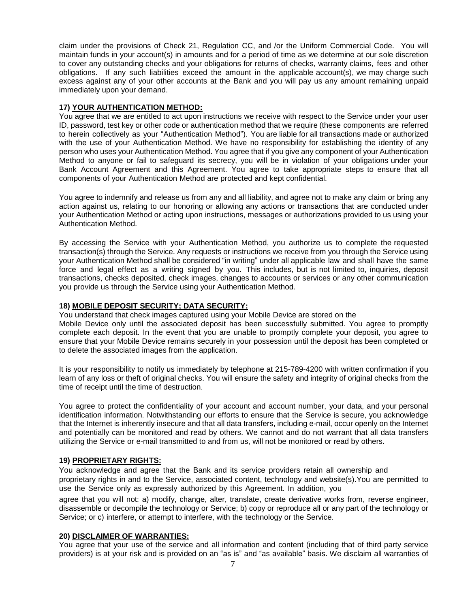claim under the provisions of Check 21, Regulation CC, and /or the Uniform Commercial Code. You will maintain funds in your account(s) in amounts and for a period of time as we determine at our sole discretion to cover any outstanding checks and your obligations for returns of checks, warranty claims, fees and other obligations. If any such liabilities exceed the amount in the applicable account(s), we may charge such excess against any of your other accounts at the Bank and you will pay us any amount remaining unpaid immediately upon your demand.

### **17) YOUR AUTHENTICATION METHOD:**

You agree that we are entitled to act upon instructions we receive with respect to the Service under your user ID, password, test key or other code or authentication method that we require (these components are referred to herein collectively as your "Authentication Method"). You are liable for all transactions made or authorized with the use of your Authentication Method. We have no responsibility for establishing the identity of any person who uses your Authentication Method. You agree that if you give any component of your Authentication Method to anyone or fail to safeguard its secrecy, you will be in violation of your obligations under your Bank Account Agreement and this Agreement. You agree to take appropriate steps to ensure that all components of your Authentication Method are protected and kept confidential.

You agree to indemnify and release us from any and all liability, and agree not to make any claim or bring any action against us, relating to our honoring or allowing any actions or transactions that are conducted under your Authentication Method or acting upon instructions, messages or authorizations provided to us using your Authentication Method.

By accessing the Service with your Authentication Method, you authorize us to complete the requested transaction(s) through the Service. Any requests or instructions we receive from you through the Service using your Authentication Method shall be considered "in writing" under all applicable law and shall have the same force and legal effect as a writing signed by you. This includes, but is not limited to, inquiries, deposit transactions, checks deposited, check images, changes to accounts or services or any other communication you provide us through the Service using your Authentication Method.

### **18) MOBILE DEPOSIT SECURITY; DATA SECURITY:**

You understand that check images captured using your Mobile Device are stored on the Mobile Device only until the associated deposit has been successfully submitted. You agree to promptly complete each deposit. In the event that you are unable to promptly complete your deposit, you agree to ensure that your Mobile Device remains securely in your possession until the deposit has been completed or to delete the associated images from the application.

It is your responsibility to notify us immediately by telephone at 215-789-4200 with written confirmation if you learn of any loss or theft of original checks. You will ensure the safety and integrity of original checks from the time of receipt until the time of destruction.

You agree to protect the confidentiality of your account and account number, your data, and your personal identification information. Notwithstanding our efforts to ensure that the Service is secure, you acknowledge that the Internet is inherently insecure and that all data transfers, including e-mail, occur openly on the Internet and potentially can be monitored and read by others. We cannot and do not warrant that all data transfers utilizing the Service or e-mail transmitted to and from us, will not be monitored or read by others.

### **19) PROPRIETARY RIGHTS:**

You acknowledge and agree that the Bank and its service providers retain all ownership and proprietary rights in and to the Service, associated content, technology and website(s).You are permitted to use the Service only as expressly authorized by this Agreement. In addition, you

agree that you will not: a) modify, change, alter, translate, create derivative works from, reverse engineer, disassemble or decompile the technology or Service; b) copy or reproduce all or any part of the technology or Service; or c) interfere, or attempt to interfere, with the technology or the Service.

### **20) DISCLAIMER OF WARRANTIES:**

You agree that your use of the service and all information and content (including that of third party service providers) is at your risk and is provided on an "as is" and "as available" basis. We disclaim all warranties of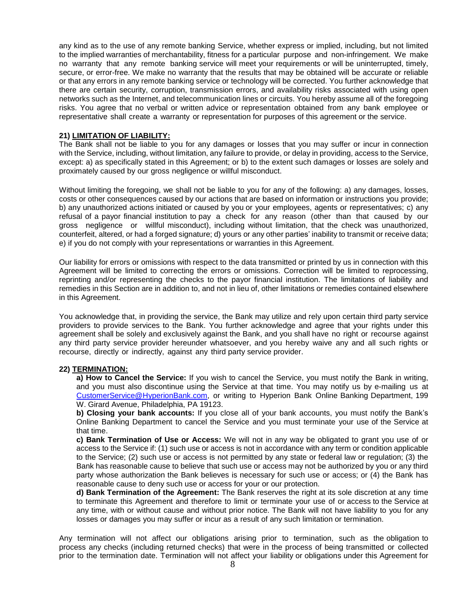any kind as to the use of any remote banking Service, whether express or implied, including, but not limited to the implied warranties of merchantability, fitness for a particular purpose and non-infringement. We make no warranty that any remote banking service will meet your requirements or will be uninterrupted, timely, secure, or error-free. We make no warranty that the results that may be obtained will be accurate or reliable or that any errors in any remote banking service or technology will be corrected. You further acknowledge that there are certain security, corruption, transmission errors, and availability risks associated with using open networks such as the Internet, and telecommunication lines or circuits. You hereby assume all of the foregoing risks. You agree that no verbal or written advice or representation obtained from any bank employee or representative shall create a warranty or representation for purposes of this agreement or the service.

#### **21) LIMITATION OF LIABILITY:**

The Bank shall not be liable to you for any damages or losses that you may suffer or incur in connection with the Service, including, without limitation, any failure to provide, or delay in providing, access to the Service, except: a) as specifically stated in this Agreement; or b) to the extent such damages or losses are solely and proximately caused by our gross negligence or willful misconduct.

Without limiting the foregoing, we shall not be liable to you for any of the following: a) any damages, losses, costs or other consequences caused by our actions that are based on information or instructions you provide; b) any unauthorized actions initiated or caused by you or your employees, agents or representatives; c) any refusal of a payor financial institution to pay a check for any reason (other than that caused by our gross negligence or willful misconduct), including without limitation, that the check was unauthorized, counterfeit, altered, or had a forged signature; d) yours or any other parties' inability to transmit or receive data; e) if you do not comply with your representations or warranties in this Agreement.

Our liability for errors or omissions with respect to the data transmitted or printed by us in connection with this Agreement will be limited to correcting the errors or omissions. Correction will be limited to reprocessing, reprinting and/or representing the checks to the payor financial institution. The limitations of liability and remedies in this Section are in addition to, and not in lieu of, other limitations or remedies contained elsewhere in this Agreement.

You acknowledge that, in providing the service, the Bank may utilize and rely upon certain third party service providers to provide services to the Bank. You further acknowledge and agree that your rights under this agreement shall be solely and exclusively against the Bank, and you shall have no right or recourse against any third party service provider hereunder whatsoever, and you hereby waive any and all such rights or recourse, directly or indirectly, against any third party service provider.

### **22) TERMINATION:**

**a) How to Cancel the Service:** If you wish to cancel the Service, you must notify the Bank in writing, and you must also discontinue using the Service at that time. You may notify us by e-mailing us at [CustomerService@HyperionBank.com,](mailto:CustomerService@HyperionBank.com) or writing to Hyperion Bank Online Banking Department, 199 W. Girard Avenue, Philadelphia, PA 19123.

**b) Closing your bank accounts:** If you close all of your bank accounts, you must notify the Bank's Online Banking Department to cancel the Service and you must terminate your use of the Service at that time.

**c) Bank Termination of Use or Access:** We will not in any way be obligated to grant you use of or access to the Service if: (1) such use or access is not in accordance with any term or condition applicable to the Service; (2) such use or access is not permitted by any state or federal law or regulation; (3) the Bank has reasonable cause to believe that such use or access may not be authorized by you or any third party whose authorization the Bank believes is necessary for such use or access; or (4) the Bank has reasonable cause to deny such use or access for your or our protection.

**d) Bank Termination of the Agreement:** The Bank reserves the right at its sole discretion at any time to terminate this Agreement and therefore to limit or terminate your use of or access to the Service at any time, with or without cause and without prior notice. The Bank will not have liability to you for any losses or damages you may suffer or incur as a result of any such limitation or termination.

Any termination will not affect our obligations arising prior to termination, such as the obligation to process any checks (including returned checks) that were in the process of being transmitted or collected prior to the termination date. Termination will not affect your liability or obligations under this Agreement for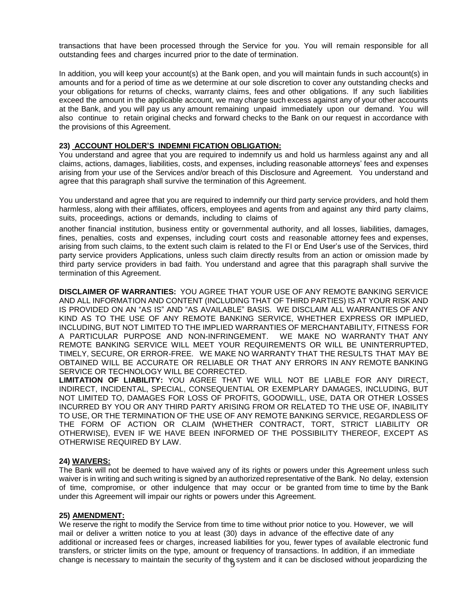transactions that have been processed through the Service for you. You will remain responsible for all outstanding fees and charges incurred prior to the date of termination.

In addition, you will keep your account(s) at the Bank open, and you will maintain funds in such account(s) in amounts and for a period of time as we determine at our sole discretion to cover any outstanding checks and your obligations for returns of checks, warranty claims, fees and other obligations. If any such liabilities exceed the amount in the applicable account, we may charge such excess against any of your other accounts at the Bank, and you will pay us any amount remaining unpaid immediately upon our demand. You will also continue to retain original checks and forward checks to the Bank on our request in accordance with the provisions of this Agreement.

### **23) ACCOUNT HOLDER'S INDEMNI FICATION OBLIGATION:**

You understand and agree that you are required to indemnify us and hold us harmless against any and all claims, actions, damages, liabilities, costs, and expenses, including reasonable attorneys' fees and expenses arising from your use of the Services and/or breach of this Disclosure and Agreement. You understand and agree that this paragraph shall survive the termination of this Agreement.

You understand and agree that you are required to indemnify our third party service providers, and hold them harmless, along with their affiliates, officers, employees and agents from and against any third party claims, suits, proceedings, actions or demands, including to claims of

another financial institution, business entity or governmental authority, and all losses, liabilities, damages, fines, penalties, costs and expenses, including court costs and reasonable attorney fees and expenses, arising from such claims, to the extent such claim is related to the FI or End User's use of the Services, third party service providers Applications, unless such claim directly results from an action or omission made by third party service providers in bad faith. You understand and agree that this paragraph shall survive the termination of this Agreement.

**DISCLAIMER OF WARRANTIES:** YOU AGREE THAT YOUR USE OF ANY REMOTE BANKING SERVICE AND ALL INFORMATION AND CONTENT (INCLUDING THAT OF THIRD PARTIES) IS AT YOUR RISK AND IS PROVIDED ON AN "AS IS" AND "AS AVAILABLE" BASIS. WE DISCLAIM ALL WARRANTIES OF ANY KIND AS TO THE USE OF ANY REMOTE BANKING SERVICE, WHETHER EXPRESS OR IMPLIED, INCLUDING, BUT NOT LIMITED TO THE IMPLIED WARRANTIES OF MERCHANTABILITY, FITNESS FOR A PARTICULAR PURPOSE AND NON-INFRINGEMENT. WE MAKE NO WARRANTY THAT ANY REMOTE BANKING SERVICE WILL MEET YOUR REQUIREMENTS OR WILL BE UNINTERRUPTED, TIMELY, SECURE, OR ERROR-FREE. WE MAKE NO WARRANTY THAT THE RESULTS THAT MAY BE OBTAINED WILL BE ACCURATE OR RELIABLE OR THAT ANY ERRORS IN ANY REMOTE BANKING SERVICE OR TECHNOLOGY WILL BE CORRECTED.

**LIMITATION OF LIABILITY:** YOU AGREE THAT WE WILL NOT BE LIABLE FOR ANY DIRECT, INDIRECT, INCIDENTAL, SPECIAL, CONSEQUENTIAL OR EXEMPLARY DAMAGES, INCLUDING, BUT NOT LIMITED TO, DAMAGES FOR LOSS OF PROFITS, GOODWILL, USE, DATA OR OTHER LOSSES INCURRED BY YOU OR ANY THIRD PARTY ARISING FROM OR RELATED TO THE USE OF, INABILITY TO USE, OR THE TERMINATION OF THE USE OF ANY REMOTE BANKING SERVICE, REGARDLESS OF THE FORM OF ACTION OR CLAIM (WHETHER CONTRACT, TORT, STRICT LIABILITY OR OTHERWISE), EVEN IF WE HAVE BEEN INFORMED OF THE POSSIBILITY THEREOF, EXCEPT AS OTHERWISE REQUIRED BY LAW.

### **24) WAIVERS:**

The Bank will not be deemed to have waived any of its rights or powers under this Agreement unless such waiver is in writing and such writing is signed by an authorized representative of the Bank. No delay, extension of time, compromise, or other indulgence that may occur or be granted from time to time by the Bank under this Agreement will impair our rights or powers under this Agreement.

### **25) AMENDMENT:**

change is necessary to maintain the security of the system and it can be disclosed without jeopardizing the We reserve the right to modify the Service from time to time without prior notice to you. However, we will mail or deliver a written notice to you at least (30) days in advance of the effective date of any additional or increased fees or charges, increased liabilities for you, fewer types of available electronic fund transfers, or stricter limits on the type, amount or frequency of transactions. In addition, if an immediate